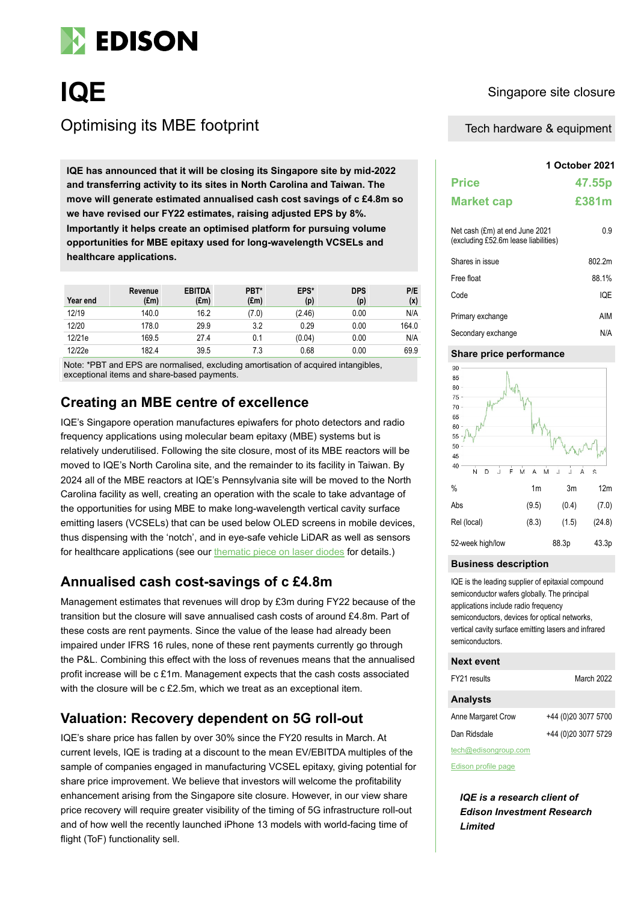

# **IQE** Singapore site closure Optimising its MBE footprint

**1QE has announced that it will be closing its Singapore site by mid-2022 and transferring activity to its sites in North Carolina and Taiwan. The move will generate estimated annualised cash cost savings of c £4.8m so we have revised our FY22 estimates, raising adjusted EPS by 8%. Importantly it helps create an optimised platform for pursuing volume opportunities for MBE epitaxy used for long-wavelength VCSELs and healthcare applications.**

| Year end | Revenue<br>$(\text{Em})$ | <b>EBITDA</b><br>$(\text{Em})$ | PBT*<br>$(\text{Em})$ | EPS*<br>(p) | <b>DPS</b><br>(p) | P/E<br>(x) |
|----------|--------------------------|--------------------------------|-----------------------|-------------|-------------------|------------|
| 12/19    | 140.0                    | 16.2                           | (7.0)                 | (2.46)      | 0.00              | N/A        |
| 12/20    | 178.0                    | 29.9                           | 3.2                   | 0.29        | 0.00              | 164.0      |
| 12/21e   | 169.5                    | 27.4                           | 0.1                   | (0.04)      | 0.00              | N/A        |
| 12/22e   | 182.4                    | 39.5                           | 7.3                   | 0.68        | 0.00              | 69.9       |

Note: \*PBT and EPS are normalised, excluding amortisation of acquired intangibles, exceptional items and share-based payments.

### **Creating an MBE centre of excellence**

IQE's Singapore operation manufactures epiwafers for photo detectors and radio frequency applications using molecular beam epitaxy (MBE) systems but is relatively underutilised. Following the site closure, most of its MBE reactors will be moved to IQE's North Carolina site, and the remainder to its facility in Taiwan. By 2024 all of the MBE reactors at IQE's Pennsylvania site will be moved to the North Carolina facility as well, creating an operation with the scale to take advantage of the opportunities for using MBE to make long-wavelength vertical cavity surface emitting lasers (VCSELs) that can be used below OLED screens in mobile devices, thus dispensing with the 'notch', and in eye-safe vehicle LiDAR as well as sensors for healthcare applications (see our [thematic piece on laser diodes](https://www.edisongroup.com/investment-themes/laser-diodes-may-the-force-be-with-you/29935/) for details.)

### **Annualised cash cost-savings of c £4.8m**

Management estimates that revenues will drop by £3m during FY22 because of the transition but the closure will save annualised cash costs of around £4.8m. Part of these costs are rent payments. Since the value of the lease had already been impaired under IFRS 16 rules, none of these rent payments currently go through the P&L. Combining this effect with the loss of revenues means that the annualised profit increase will be c £1m. Management expects that the cash costs associated with the closure will be c £2.5m, which we treat as an exceptional item.

### **Valuation: Recovery dependent on 5G roll-out**

IQE's share price has fallen by over 30% since the FY20 results in March. At current levels, IQE is trading at a discount to the mean EV/EBITDA multiples of the sample of companies engaged in manufacturing VCSEL epitaxy, giving potential for share price improvement. We believe that investors will welcome the profitability enhancement arising from the Singapore site closure. However, in our view share price recovery will require greater visibility of the timing of 5G infrastructure roll-out and of how well the recently launched iPhone 13 models with world-facing time of flight (ToF) functionality sell.

### Tech hardware & equipment

|                                                                        | 1 October 2021 |  |  |  |  |  |
|------------------------------------------------------------------------|----------------|--|--|--|--|--|
| <b>Price</b>                                                           | 47.55p         |  |  |  |  |  |
| <b>Market cap</b>                                                      | £381m          |  |  |  |  |  |
| Net cash (£m) at end June 2021<br>(excluding £52.6m lease liabilities) | 0.9            |  |  |  |  |  |
| Shares in issue                                                        | 802.2m         |  |  |  |  |  |
| Free float                                                             | 88.1%          |  |  |  |  |  |
| Code                                                                   | IQE            |  |  |  |  |  |
| Primary exchange                                                       | AIM            |  |  |  |  |  |
| Secondary exchange                                                     | N/A            |  |  |  |  |  |

#### **Share price performance**



#### **Business description**

IQE is the leading supplier of epitaxial compound semiconductor wafers globally. The principal applications include radio frequency semiconductors, devices for optical networks, vertical cavity surface emitting lasers and infrared semiconductors.

| FY21 results         | <b>March 2022</b>   |
|----------------------|---------------------|
| <b>Analysts</b>      |                     |
| Anne Margaret Crow   | +44 (0)20 3077 5700 |
| Dan Ridsdale         | +44 (0)20 3077 5729 |
| tech@edisongroup.com |                     |

[Edison profile page](https://www.edisongroup.com/company/iqe/429/)

*IQE is a research client of Edison Investment Research Limited*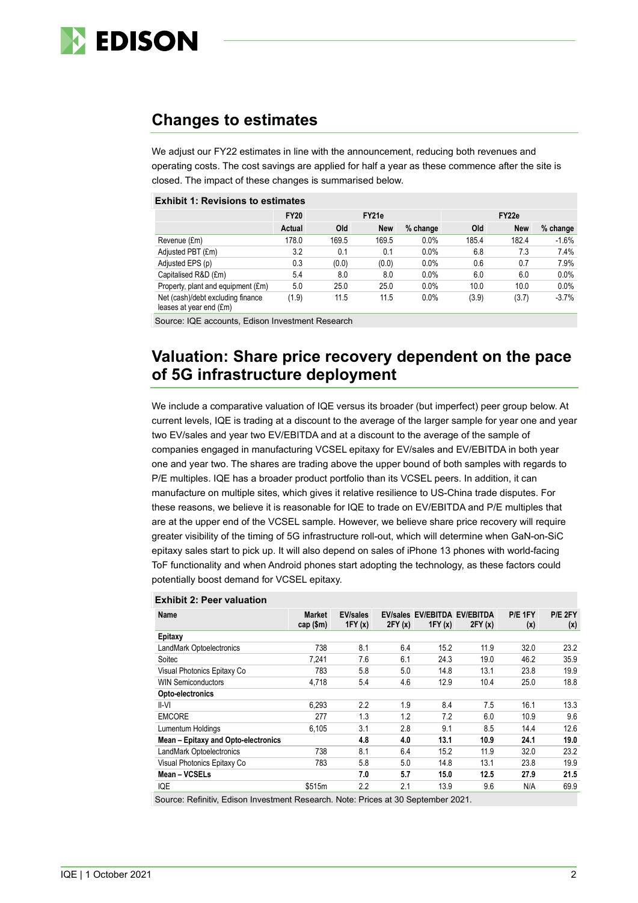

## **Changes to estimates**

We adjust our FY22 estimates in line with the announcement, reducing both revenues and operating costs. The cost savings are applied for half a year as these commence after the site is closed. The impact of these changes is summarised below.

#### **Exhibit 1: Revisions to estimates**

|                                                              | <b>FY20</b> | FY21e |            |            | FY <sub>22e</sub> |            |          |
|--------------------------------------------------------------|-------------|-------|------------|------------|-------------------|------------|----------|
|                                                              | Actual      | Old   | <b>New</b> | $%$ change | <b>Old</b>        | <b>New</b> | % change |
| Revenue (£m)                                                 | 178.0       | 169.5 | 169.5      | 0.0%       | 185.4             | 182.4      | $-1.6\%$ |
| Adjusted PBT (£m)                                            | 3.2         | 0.1   | 0.1        | 0.0%       | 6.8               | 7.3        | 7.4%     |
| Adjusted EPS (p)                                             | 0.3         | (0.0) | (0.0)      | 0.0%       | 0.6               | 0.7        | 7.9%     |
| Capitalised R&D (£m)                                         | 5.4         | 8.0   | 8.0        | 0.0%       | 6.0               | 6.0        | 0.0%     |
| Property, plant and equipment (£m)                           | 5.0         | 25.0  | 25.0       | 0.0%       | 10.0              | 10.0       | 0.0%     |
| Net (cash)/debt excluding finance<br>leases at year end (£m) | (1.9)       | 11.5  | 11.5       | $0.0\%$    | (3.9)             | (3.7)      | $-3.7%$  |

Source: IQE accounts, Edison Investment Research

### **Valuation: Share price recovery dependent on the pace of 5G infrastructure deployment**

We include a comparative valuation of IQE versus its broader (but imperfect) peer group below. At current levels, IQE is trading at a discount to the average of the larger sample for year one and year two EV/sales and year two EV/EBITDA and at a discount to the average of the sample of companies engaged in manufacturing VCSEL epitaxy for EV/sales and EV/EBITDA in both year one and year two. The shares are trading above the upper bound of both samples with regards to P/E multiples. IQE has a broader product portfolio than its VCSEL peers. In addition, it can manufacture on multiple sites, which gives it relative resilience to US-China trade disputes. For these reasons, we believe it is reasonable for IQE to trade on EV/EBITDA and P/E multiples that are at the upper end of the VCSEL sample. However, we believe share price recovery will require greater visibility of the timing of 5G infrastructure roll-out, which will determine when GaN-on-SiC epitaxy sales start to pick up. It will also depend on sales of iPhone 13 phones with world-facing ToF functionality and when Android phones start adopting the technology, as these factors could potentially boost demand for VCSEL epitaxy.

| Name                                | <b>Market</b><br>cap $(\$m)$ | <b>EV/sales</b><br>1FY(x) | 2FY(x) | EV/sales EV/EBITDA EV/EBITDA<br>1FY(x) | 2FY(x) | P/E 1FY<br>(x) | P/E 2FY<br>(x) |  |
|-------------------------------------|------------------------------|---------------------------|--------|----------------------------------------|--------|----------------|----------------|--|
| Epitaxy                             |                              |                           |        |                                        |        |                |                |  |
| LandMark Optoelectronics            | 738                          | 8.1                       | 6.4    | 15.2                                   | 11.9   | 32.0           | 23.2           |  |
| Soitec                              | 7,241                        | 7.6                       | 6.1    | 24.3                                   | 19.0   | 46.2           | 35.9           |  |
| Visual Photonics Epitaxy Co         | 783                          | 5.8                       | 5.0    | 14.8                                   | 13.1   | 23.8           | 19.9           |  |
| <b>WIN Semiconductors</b>           | 4.718                        | 5.4                       | 4.6    | 12.9                                   | 10.4   | 25.0           | 18.8           |  |
| Opto-electronics                    |                              |                           |        |                                        |        |                |                |  |
| II-VI                               | 6,293                        | 2.2                       | 1.9    | 8.4                                    | 7.5    | 16.1           | 13.3           |  |
| <b>EMCORE</b>                       | 277                          | 1.3                       | 1.2    | 7.2                                    | 6.0    | 10.9           | 9.6            |  |
| Lumentum Holdings                   | 6.105                        | 3.1                       | 2.8    | 9.1                                    | 8.5    | 14.4           | 12.6           |  |
| Mean - Epitaxy and Opto-electronics |                              | 4.8                       | 4.0    | 13.1                                   | 10.9   | 24.1           | 19.0           |  |
| LandMark Optoelectronics            | 738                          | 8.1                       | 6.4    | 15.2                                   | 11.9   | 32.0           | 23.2           |  |
| Visual Photonics Epitaxy Co         | 783                          | 5.8                       | 5.0    | 14.8                                   | 13.1   | 23.8           | 19.9           |  |
| Mean - VCSELs                       |                              | 7.0                       | 5.7    | 15.0                                   | 12.5   | 27.9           | 21.5           |  |
| IQE                                 | \$515m                       | 2.2                       | 2.1    | 13.9                                   | 9.6    | N/A            | 69.9           |  |
|                                     |                              |                           |        |                                        |        |                |                |  |

#### **Exhibit 2: Peer valuation**

Source: Refinitiv, Edison Investment Research. Note: Prices at 30 September 2021.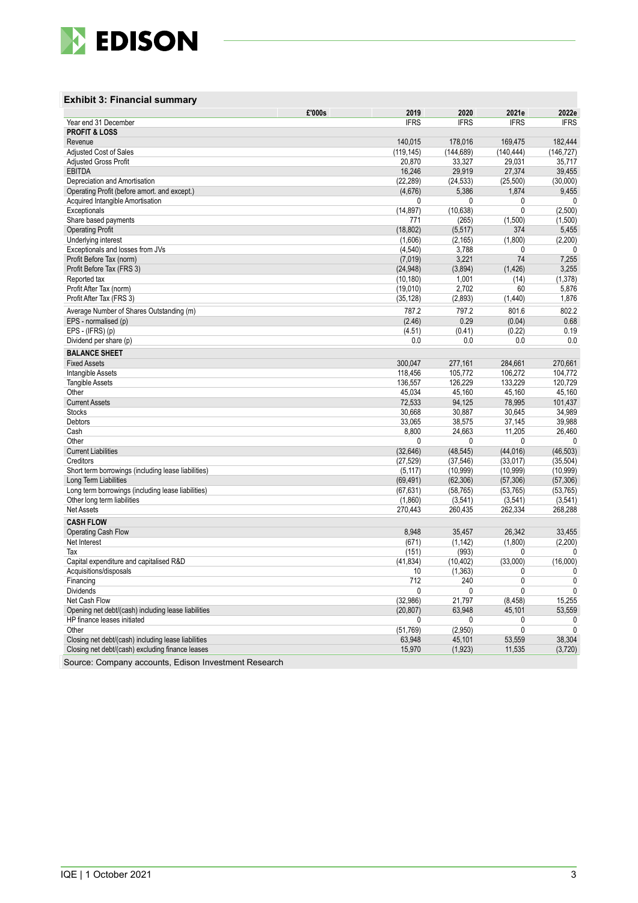

#### **Exhibit 3: Financial summary**

|                                                     | £'000s | 2019                   | 2020                   | 2021e                  | 2022e                  |
|-----------------------------------------------------|--------|------------------------|------------------------|------------------------|------------------------|
| Year end 31 December                                |        | <b>IFRS</b>            | <b>IFRS</b>            | <b>IFRS</b>            | <b>IFRS</b>            |
| <b>PROFIT &amp; LOSS</b>                            |        |                        |                        |                        |                        |
| Revenue                                             |        | 140,015                | 178,016                | 169,475                | 182,444                |
| <b>Adjusted Cost of Sales</b>                       |        | (119, 145)             | (144, 689)             | (140, 444)             | (146, 727)             |
| <b>Adjusted Gross Profit</b>                        |        | 20,870                 | 33,327                 | 29,031                 | 35,717                 |
| <b>EBITDA</b>                                       |        | 16,246                 | 29,919                 | 27,374                 | 39,455                 |
| Depreciation and Amortisation                       |        | (22, 289)              | (24, 533)              | (25,500)               | (30,000)               |
| Operating Profit (before amort. and except.)        |        | (4,676)                | 5,386                  | 1,874                  | 9,455                  |
| Acquired Intangible Amortisation                    |        | 0                      | 0                      | 0                      | 0                      |
| Exceptionals                                        |        | (14, 897)              | (10, 638)              | 0                      | (2,500)                |
| Share based payments                                |        | 771                    | (265)                  | (1,500)                | (1,500)                |
| <b>Operating Profit</b>                             |        | (18, 802)              | (5, 517)               | 374                    | 5,455                  |
| Underlying interest                                 |        | (1,606)                | (2, 165)               | (1,800)                | (2,200)                |
| Exceptionals and losses from JVs                    |        | (4, 540)               | 3,788                  | 0                      | 0                      |
| Profit Before Tax (norm)                            |        | (7,019)                | 3,221                  | 74                     | 7,255                  |
| Profit Before Tax (FRS 3)                           |        | (24, 948)              | (3,894)                | (1, 426)               | 3,255                  |
| Reported tax                                        |        | (10, 180)              | 1,001                  | (14)                   | (1, 378)               |
| Profit After Tax (norm)                             |        | (19,010)               | 2,702                  | 60                     | 5,876                  |
| Profit After Tax (FRS 3)                            |        | (35, 128)              | (2,893)                | (1,440)                | 1,876                  |
| Average Number of Shares Outstanding (m)            |        | 787.2                  | 797.2                  | 801.6                  | 802.2                  |
| EPS - normalised (p)                                |        | (2.46)                 | 0.29                   | (0.04)                 | 0.68                   |
| EPS - (IFRS) (p)                                    |        | (4.51)                 | (0.41)                 | (0.22)                 | 0.19                   |
| Dividend per share (p)                              |        | 0.0                    | 0.0                    | 0.0                    | 0.0                    |
| <b>BALANCE SHEET</b>                                |        |                        |                        |                        |                        |
| <b>Fixed Assets</b>                                 |        | 300,047                | 277,161                | 284,661                | 270,661                |
| Intangible Assets                                   |        | 118,456                | 105,772                | 106,272                | 104.772                |
| <b>Tangible Assets</b>                              |        | 136,557                | 126,229                | 133,229                | 120,729                |
| Other                                               |        | 45,034                 | 45,160                 | 45,160                 | 45,160                 |
| <b>Current Assets</b>                               |        | 72,533                 | 94,125                 | 78,995                 | 101.437                |
| <b>Stocks</b>                                       |        | 30,668                 | 30,887                 | 30,645                 | 34,989                 |
| Debtors                                             |        | 33,065                 | 38,575                 | 37,145                 | 39,988                 |
| Cash                                                |        | 8,800                  | 24,663                 | 11,205                 | 26,460                 |
| Other                                               |        | 0                      | 0                      | 0                      | 0                      |
| <b>Current Liabilities</b>                          |        | (32, 646)              | (48, 545)              | (44, 016)              | (46, 503)              |
| Creditors                                           |        | (27, 529)              | (37, 546)              | (33, 017)              | (35, 504)              |
| Short term borrowings (including lease liabilities) |        | (5, 117)               | (10, 999)              | (10, 999)              | (10, 999)              |
| Long Term Liabilities                               |        |                        |                        |                        |                        |
| Long term borrowings (including lease liabilities)  |        | (69, 491)<br>(67, 631) | (62, 306)<br>(58, 765) | (57, 306)<br>(53, 765) | (57, 306)<br>(53, 765) |
| Other long term liabilities                         |        | (1,860)                | (3, 541)               |                        | (3, 541)               |
|                                                     |        |                        |                        | (3, 541)               |                        |
| <b>Net Assets</b>                                   |        | 270,443                | 260,435                | 262,334                | 268,288                |
| <b>CASH FLOW</b>                                    |        |                        |                        |                        |                        |
| Operating Cash Flow                                 |        | 8,948                  | 35,457                 | 26,342                 | 33,455                 |
| Net Interest                                        |        | (671)                  | (1, 142)               | (1,800)                | (2,200)                |
| Tax                                                 |        | (151)                  | (993)                  | 0                      | 0                      |
| Capital expenditure and capitalised R&D             |        | (41, 834)              | (10, 402)              | (33,000)               | (16,000)               |
| Acquisitions/disposals                              |        | 10                     | (1, 363)               | 0                      | 0                      |
| Financing                                           |        | 712                    | 240                    | 0                      | 0                      |
| <b>Dividends</b>                                    |        | $\mathbf{0}$           | $\mathbf{0}$           | $\mathbf{0}$           | $\mathbf{0}$           |
| Net Cash Flow                                       |        | (32, 986)              | 21,797                 | (8, 458)               | 15,255                 |
| Opening net debt/(cash) including lease liabilities |        | (20, 807)              | 63,948                 | 45,101                 | 53,559                 |
| HP finance leases initiated                         |        | 0                      | 0                      | 0                      | 0                      |
| Other                                               |        | (51, 769)              | (2,950)                | 0                      | 0                      |
| Closing net debt/(cash) including lease liabilities |        | 63,948                 | 45,101                 | 53,559                 | 38,304                 |
| Closing net debt/(cash) excluding finance leases    |        | 15,970                 | (1,923)                | 11,535                 | (3,720)                |

Source: Company accounts, Edison Investment Research